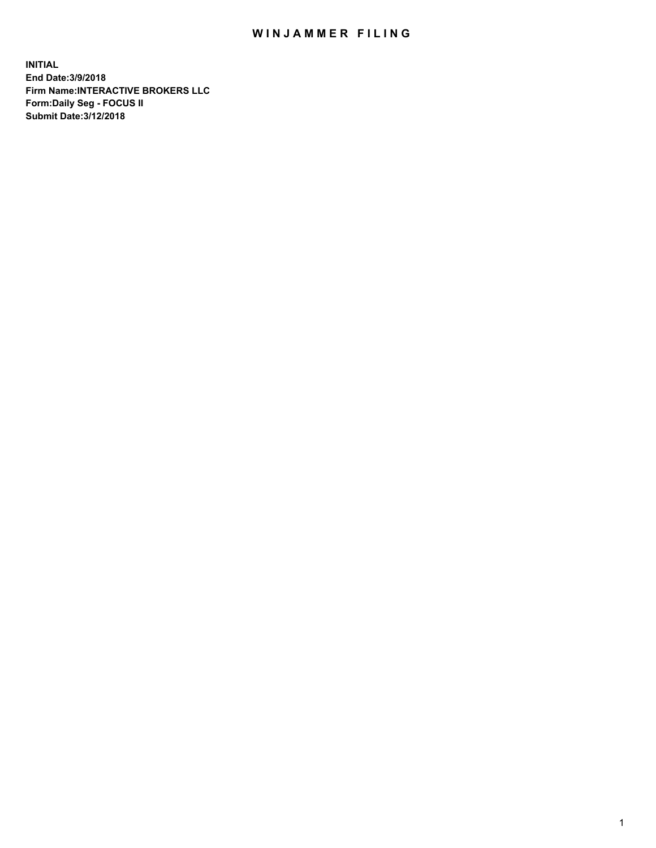## WIN JAMMER FILING

**INITIAL End Date:3/9/2018 Firm Name:INTERACTIVE BROKERS LLC Form:Daily Seg - FOCUS II Submit Date:3/12/2018**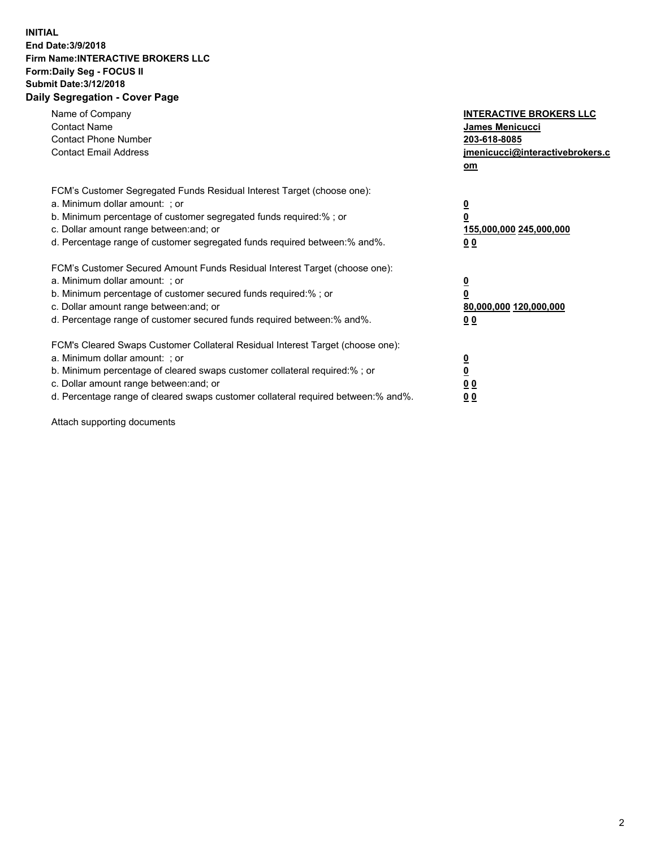## **INITIAL End Date:3/9/2018 Firm Name:INTERACTIVE BROKERS LLC Form:Daily Seg - FOCUS II Submit Date:3/12/2018 Daily Segregation - Cover Page**

| Name of Company<br><b>Contact Name</b><br><b>Contact Phone Number</b><br><b>Contact Email Address</b>                                                                                                                                                                                                                          | <b>INTERACTIVE BROKERS LLC</b><br>James Menicucci<br>203-618-8085<br>jmenicucci@interactivebrokers.c<br>om |
|--------------------------------------------------------------------------------------------------------------------------------------------------------------------------------------------------------------------------------------------------------------------------------------------------------------------------------|------------------------------------------------------------------------------------------------------------|
| FCM's Customer Segregated Funds Residual Interest Target (choose one):<br>a. Minimum dollar amount: ; or<br>b. Minimum percentage of customer segregated funds required:%; or<br>c. Dollar amount range between: and; or<br>d. Percentage range of customer segregated funds required between:% and%.                          | $\overline{\mathbf{0}}$<br>$\overline{\mathbf{0}}$<br>155,000,000 245,000,000<br>00                        |
| FCM's Customer Secured Amount Funds Residual Interest Target (choose one):<br>a. Minimum dollar amount: ; or<br>b. Minimum percentage of customer secured funds required:%; or<br>c. Dollar amount range between: and; or<br>d. Percentage range of customer secured funds required between: % and %.                          | $\overline{\mathbf{0}}$<br>$\mathbf 0$<br>80,000,000 120,000,000<br>00                                     |
| FCM's Cleared Swaps Customer Collateral Residual Interest Target (choose one):<br>a. Minimum dollar amount: ; or<br>b. Minimum percentage of cleared swaps customer collateral required:% ; or<br>c. Dollar amount range between: and; or<br>d. Percentage range of cleared swaps customer collateral required between:% and%. | $\overline{\mathbf{0}}$<br>$\underline{\mathbf{0}}$<br>0 <sub>0</sub><br>0 <sub>0</sub>                    |

Attach supporting documents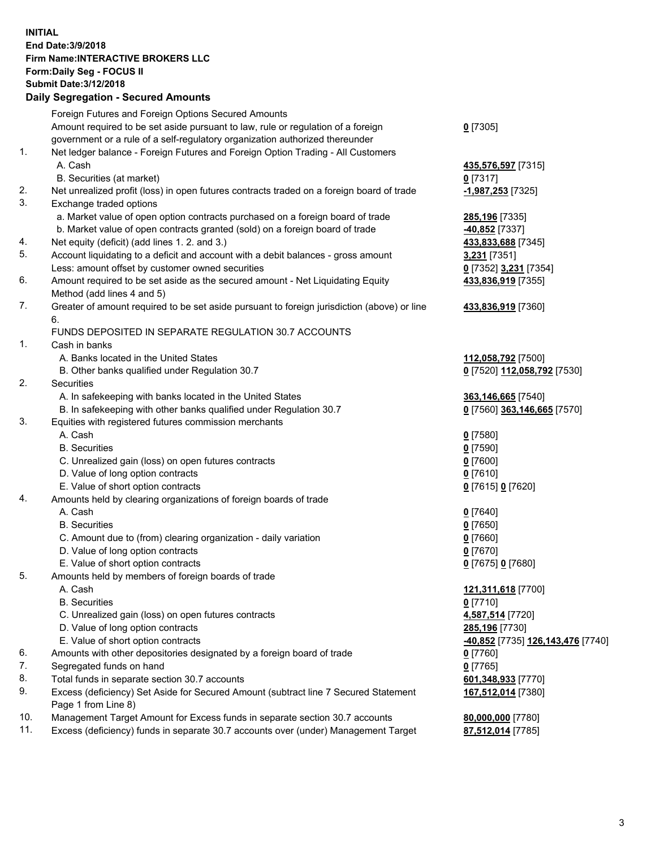## **INITIAL End Date:3/9/2018 Firm Name:INTERACTIVE BROKERS LLC Form:Daily Seg - FOCUS II Submit Date:3/12/2018 Daily Segregation - Secured Amounts**

|     | Foreign Futures and Foreign Options Secured Amounts                                         |                                                |
|-----|---------------------------------------------------------------------------------------------|------------------------------------------------|
|     | Amount required to be set aside pursuant to law, rule or regulation of a foreign            | $0$ [7305]                                     |
|     | government or a rule of a self-regulatory organization authorized thereunder                |                                                |
| 1.  | Net ledger balance - Foreign Futures and Foreign Option Trading - All Customers             |                                                |
|     | A. Cash                                                                                     | 435,576,597 [7315]                             |
|     | B. Securities (at market)                                                                   | $0$ [7317]                                     |
| 2.  | Net unrealized profit (loss) in open futures contracts traded on a foreign board of trade   | -1,987,253 [7325]                              |
| 3.  | Exchange traded options                                                                     |                                                |
|     | a. Market value of open option contracts purchased on a foreign board of trade              | 285,196 [7335]                                 |
|     | b. Market value of open contracts granted (sold) on a foreign board of trade                | -40,852 [7337]                                 |
| 4.  | Net equity (deficit) (add lines 1.2. and 3.)                                                |                                                |
| 5.  | Account liquidating to a deficit and account with a debit balances - gross amount           | 433,833,688 [7345]                             |
|     |                                                                                             | 3,231 [7351]                                   |
|     | Less: amount offset by customer owned securities                                            | 0 [7352] 3,231 [7354]                          |
| 6.  | Amount required to be set aside as the secured amount - Net Liquidating Equity              | 433,836,919 [7355]                             |
|     | Method (add lines 4 and 5)                                                                  |                                                |
| 7.  | Greater of amount required to be set aside pursuant to foreign jurisdiction (above) or line | 433,836,919 [7360]                             |
|     | 6.                                                                                          |                                                |
|     | FUNDS DEPOSITED IN SEPARATE REGULATION 30.7 ACCOUNTS                                        |                                                |
| 1.  | Cash in banks                                                                               |                                                |
|     | A. Banks located in the United States                                                       | 112,058,792 [7500]                             |
|     | B. Other banks qualified under Regulation 30.7                                              | 0 [7520] 112,058,792 [7530]                    |
| 2.  | Securities                                                                                  |                                                |
|     | A. In safekeeping with banks located in the United States                                   | 363,146,665 [7540]                             |
|     | B. In safekeeping with other banks qualified under Regulation 30.7                          | 0 [7560] 363,146,665 [7570]                    |
| 3.  | Equities with registered futures commission merchants                                       |                                                |
|     | A. Cash                                                                                     | $0$ [7580]                                     |
|     | <b>B.</b> Securities                                                                        | $0$ [7590]                                     |
|     | C. Unrealized gain (loss) on open futures contracts                                         | $0$ [7600]                                     |
|     | D. Value of long option contracts                                                           | $0$ [7610]                                     |
|     | E. Value of short option contracts                                                          | 0 [7615] 0 [7620]                              |
| 4.  | Amounts held by clearing organizations of foreign boards of trade                           |                                                |
|     | A. Cash                                                                                     | $0$ [7640]                                     |
|     | <b>B.</b> Securities                                                                        | $0$ [7650]                                     |
|     | C. Amount due to (from) clearing organization - daily variation                             | $0$ [7660]                                     |
|     | D. Value of long option contracts                                                           | $0$ [7670]                                     |
|     | E. Value of short option contracts                                                          | 0 [7675] 0 [7680]                              |
| 5.  | Amounts held by members of foreign boards of trade                                          |                                                |
|     | A. Cash                                                                                     | 121,311,618 [7700]                             |
|     | <b>B.</b> Securities                                                                        | $0$ [7710]                                     |
|     | C. Unrealized gain (loss) on open futures contracts                                         | 4,587,514 [7720]                               |
|     | D. Value of long option contracts                                                           | 285,196 [7730]                                 |
|     | E. Value of short option contracts                                                          | <mark>-40,852</mark> [7735] 126,143,476 [7740] |
| 6.  | Amounts with other depositories designated by a foreign board of trade                      | $0$ [7760]                                     |
| 7.  | Segregated funds on hand                                                                    | $0$ [7765]                                     |
| 8.  | Total funds in separate section 30.7 accounts                                               | 601,348,933 [7770]                             |
| 9.  | Excess (deficiency) Set Aside for Secured Amount (subtract line 7 Secured Statement         | 167,512,014 [7380]                             |
|     | Page 1 from Line 8)                                                                         |                                                |
| 10. | Management Target Amount for Excess funds in separate section 30.7 accounts                 |                                                |
| 11. | Excess (deficiency) funds in separate 30.7 accounts over (under) Management Target          | 80,000,000 [7780]                              |
|     |                                                                                             | 87,512,014 [7785]                              |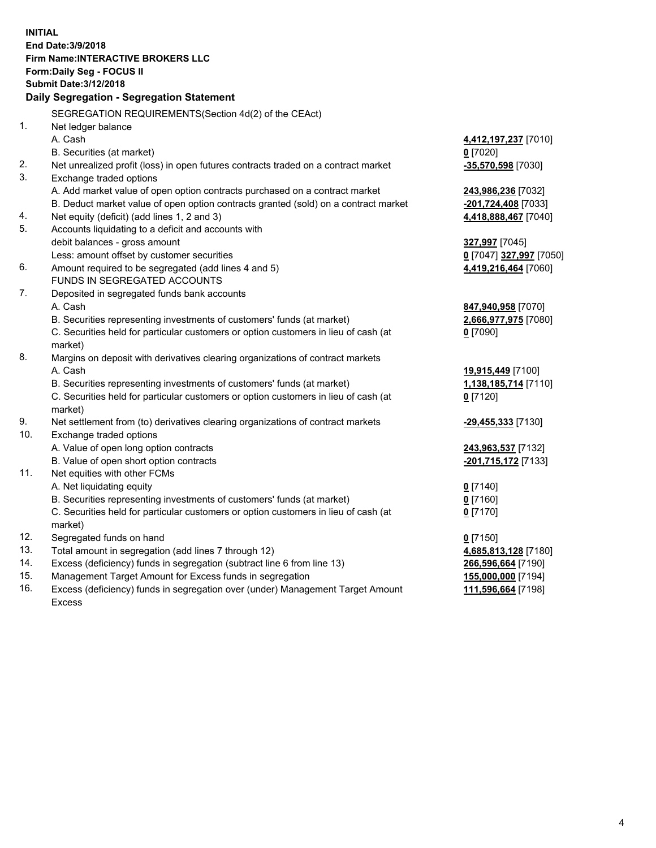**INITIAL End Date:3/9/2018 Firm Name:INTERACTIVE BROKERS LLC Form:Daily Seg - FOCUS II Submit Date:3/12/2018 Daily Segregation - Segregation Statement** SEGREGATION REQUIREMENTS(Section 4d(2) of the CEAct) 1. Net ledger balance A. Cash **4,412,197,237** [7010] B. Securities (at market) **0** [7020] 2. Net unrealized profit (loss) in open futures contracts traded on a contract market **-35,570,598** [7030] 3. Exchange traded options A. Add market value of open option contracts purchased on a contract market **243,986,236** [7032] B. Deduct market value of open option contracts granted (sold) on a contract market **-201,724,408** [7033] 4. Net equity (deficit) (add lines 1, 2 and 3) **4,418,888,467** [7040] 5. Accounts liquidating to a deficit and accounts with debit balances - gross amount **327,997** [7045] Less: amount offset by customer securities **0** [7047] **327,997** [7050] 6. Amount required to be segregated (add lines 4 and 5) **4,419,216,464** [7060] FUNDS IN SEGREGATED ACCOUNTS 7. Deposited in segregated funds bank accounts A. Cash **847,940,958** [7070] B. Securities representing investments of customers' funds (at market) **2,666,977,975** [7080] C. Securities held for particular customers or option customers in lieu of cash (at market) **0** [7090] 8. Margins on deposit with derivatives clearing organizations of contract markets A. Cash **19,915,449** [7100] B. Securities representing investments of customers' funds (at market) **1,138,185,714** [7110] C. Securities held for particular customers or option customers in lieu of cash (at market) **0** [7120] 9. Net settlement from (to) derivatives clearing organizations of contract markets **-29,455,333** [7130] 10. Exchange traded options A. Value of open long option contracts **243,963,537** [7132] B. Value of open short option contracts **-201,715,172** [7133] 11. Net equities with other FCMs A. Net liquidating equity **0** [7140] B. Securities representing investments of customers' funds (at market) **0** [7160] C. Securities held for particular customers or option customers in lieu of cash (at market) **0** [7170] 12. Segregated funds on hand **0** [7150] 13. Total amount in segregation (add lines 7 through 12) **4,685,813,128** [7180] 14. Excess (deficiency) funds in segregation (subtract line 6 from line 13) **266,596,664** [7190] 15. Management Target Amount for Excess funds in segregation **155,000,000** [7194]

16. Excess (deficiency) funds in segregation over (under) Management Target Amount Excess

**111,596,664** [7198]